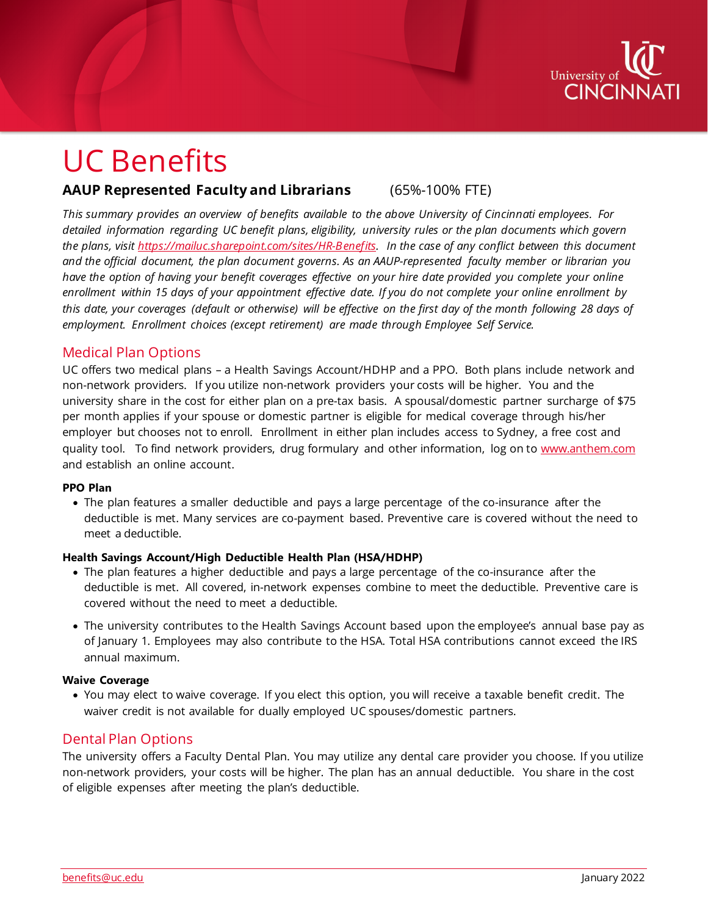

# UC Benefits

# **AAUP Represented Faculty and Librarians** (65%-100% FTE)

*This summary provides an overview of benefits available to the above University of Cincinnati employees. For detailed information regarding UC benefit plans, eligibility, university rules or the plan documents which govern the plans, visit [https://mailuc.sharepoint.com/sites/HR-Benefits.](https://mailuc.sharepoint.com/sites/HR-Benefits) In the case of any conflict between this document and the official document, the plan document governs. As an AAUP-represented faculty member or librarian you have the option of having your benefit coverages effective on your hire date provided you complete your online enrollment within 15 days of your appointment effective date. If you do not complete your online enrollment by this date, your coverages (default or otherwise) will be effective on the first day of the month following 28 days of employment. Enrollment choices (except retirement) are made through Employee Self Service.*

# Medical Plan Options

UC offers two medical plans – a Health Savings Account/HDHP and a PPO. Both plans include network and non-network providers. If you utilize non-network providers your costs will be higher. You and the university share in the cost for either plan on a pre-tax basis. A spousal/domestic partner surcharge of \$75 per month applies if your spouse or domestic partner is eligible for medical coverage through his/her employer but chooses not to enroll. Enrollment in either plan includes access to Sydney, a free cost and quality tool. To find network providers, drug formulary and other information, log on to [www.anthem.com](http://www.anthem.com/) and establish an online account.

#### **PPO Plan**

• The plan features a smaller deductible and pays a large percentage of the co-insurance after the deductible is met. Many services are co-payment based. Preventive care is covered without the need to meet a deductible.

## **Health Savings Account/High Deductible Health Plan (HSA/HDHP)**

- The plan features a higher deductible and pays a large percentage of the co-insurance after the deductible is met. All covered, in-network expenses combine to meet the deductible. Preventive care is covered without the need to meet a deductible.
- The university contributes to the Health Savings Account based upon the employee's annual base pay as of January 1. Employees may also contribute to the HSA. Total HSA contributions cannot exceed the IRS annual maximum.

## **Waive Coverage**

• You may elect to waive coverage. If you elect this option, you will receive a taxable benefit credit. The waiver credit is not available for dually employed UC spouses/domestic partners.

# Dental Plan Options

The university offers a Faculty Dental Plan. You may utilize any dental care provider you choose. If you utilize non-network providers, your costs will be higher. The plan has an annual deductible. You share in the cost of eligible expenses after meeting the plan's deductible.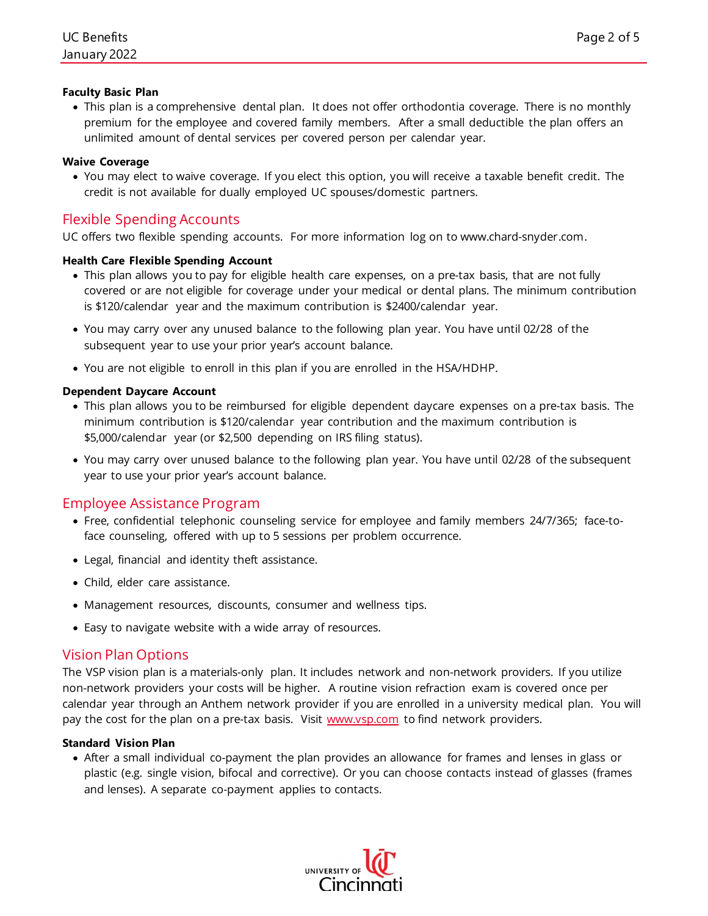# **Faculty Basic Plan**

• This plan is a comprehensive dental plan. It does not offer orthodontia coverage. There is no monthly premium for the employee and covered family members. After a small deductible the plan offers an unlimited amount of dental services per covered person per calendar year.

## **Waive Coverage**

• You may elect to waive coverage. If you elect this option, you will receive a taxable benefit credit. The credit is not available for dually employed UC spouses/domestic partners.

# Flexible Spending Accounts

UC offers two flexible spending accounts. For more information log on to www.chard-snyder.com.

# **Health Care Flexible Spending Account**

- This plan allows you to pay for eligible health care expenses, on a pre-tax basis, that are not fully covered or are not eligible for coverage under your medical or dental plans. The minimum contribution is \$120/calendar year and the maximum contribution is \$2400/calendar year.
- You may carry over any unused balance to the following plan year. You have until 02/28 of the subsequent year to use your prior year's account balance.
- You are not eligible to enroll in this plan if you are enrolled in the HSA/HDHP.

# **Dependent Daycare Account**

- This plan allows you to be reimbursed for eligible dependent daycare expenses on a pre-tax basis. The minimum contribution is \$120/calendar year contribution and the maximum contribution is \$5,000/calendar year (or \$2,500 depending on IRS filing status).
- You may carry over unused balance to the following plan year. You have until 02/28 of the subsequent year to use your prior year's account balance.

# Employee Assistance Program

- Free, confidential telephonic counseling service for employee and family members 24/7/365; face-toface counseling, offered with up to 5 sessions per problem occurrence.
- Legal, financial and identity theft assistance.
- Child, elder care assistance.
- Management resources, discounts, consumer and wellness tips.
- Easy to navigate website with a wide array of resources.

# Vision Plan Options

The VSP vision plan is a materials-only plan. It includes network and non-network providers. If you utilize non-network providers your costs will be higher. A routine vision refraction exam is covered once per calendar year through an Anthem network provider if you are enrolled in a university medical plan. You will pay the cost for the plan on a pre-tax basis. Visit [www.vsp.com](http://www.vsp.com/) to find network providers.

## **Standard Vision Plan**

• After a small individual co-payment the plan provides an allowance for frames and lenses in glass or plastic (e.g. single vision, bifocal and corrective). Or you can choose contacts instead of glasses (frames and lenses). A separate co-payment applies to contacts.

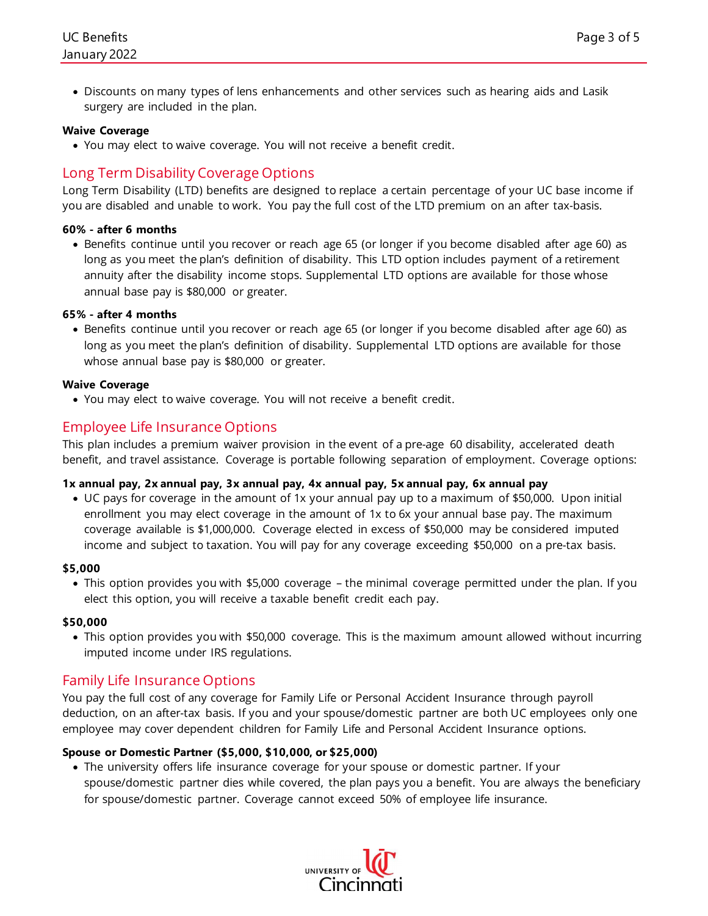• Discounts on many types of lens enhancements and other services such as hearing aids and Lasik surgery are included in the plan.

## **Waive Coverage**

• You may elect to waive coverage. You will not receive a benefit credit.

# Long Term Disability Coverage Options

Long Term Disability (LTD) benefits are designed to replace a certain percentage of your UC base income if you are disabled and unable to work. You pay the full cost of the LTD premium on an after tax-basis.

#### **60% - after 6 months**

• Benefits continue until you recover or reach age 65 (or longer if you become disabled after age 60) as long as you meet the plan's definition of disability. This LTD option includes payment of a retirement annuity after the disability income stops. Supplemental LTD options are available for those whose annual base pay is \$80,000 or greater.

#### **65% - after 4 months**

• Benefits continue until you recover or reach age 65 (or longer if you become disabled after age 60) as long as you meet the plan's definition of disability. Supplemental LTD options are available for those whose annual base pay is \$80,000 or greater.

#### **Waive Coverage**

• You may elect to waive coverage. You will not receive a benefit credit.

# Employee Life Insurance Options

This plan includes a premium waiver provision in the event of a pre-age 60 disability, accelerated death benefit, and travel assistance. Coverage is portable following separation of employment. Coverage options:

#### **1x annual pay, 2x annual pay, 3x annual pay, 4x annual pay, 5x annual pay, 6x annual pay**

• UC pays for coverage in the amount of 1x your annual pay up to a maximum of \$50,000. Upon initial enrollment you may elect coverage in the amount of 1x to 6x your annual base pay. The maximum coverage available is \$1,000,000. Coverage elected in excess of \$50,000 may be considered imputed income and subject to taxation. You will pay for any coverage exceeding \$50,000 on a pre-tax basis.

#### **\$5,000**

• This option provides you with \$5,000 coverage – the minimal coverage permitted under the plan. If you elect this option, you will receive a taxable benefit credit each pay.

#### **\$50,000**

• This option provides you with \$50,000 coverage. This is the maximum amount allowed without incurring imputed income under IRS regulations.

# Family Life Insurance Options

You pay the full cost of any coverage for Family Life or Personal Accident Insurance through payroll deduction, on an after-tax basis. If you and your spouse/domestic partner are both UC employees only one employee may cover dependent children for Family Life and Personal Accident Insurance options.

## **Spouse or Domestic Partner (\$5,000, \$10,000, or \$25,000)**

• The university offers life insurance coverage for your spouse or domestic partner. If your spouse/domestic partner dies while covered, the plan pays you a benefit. You are always the beneficiary for spouse/domestic partner. Coverage cannot exceed 50% of employee life insurance.

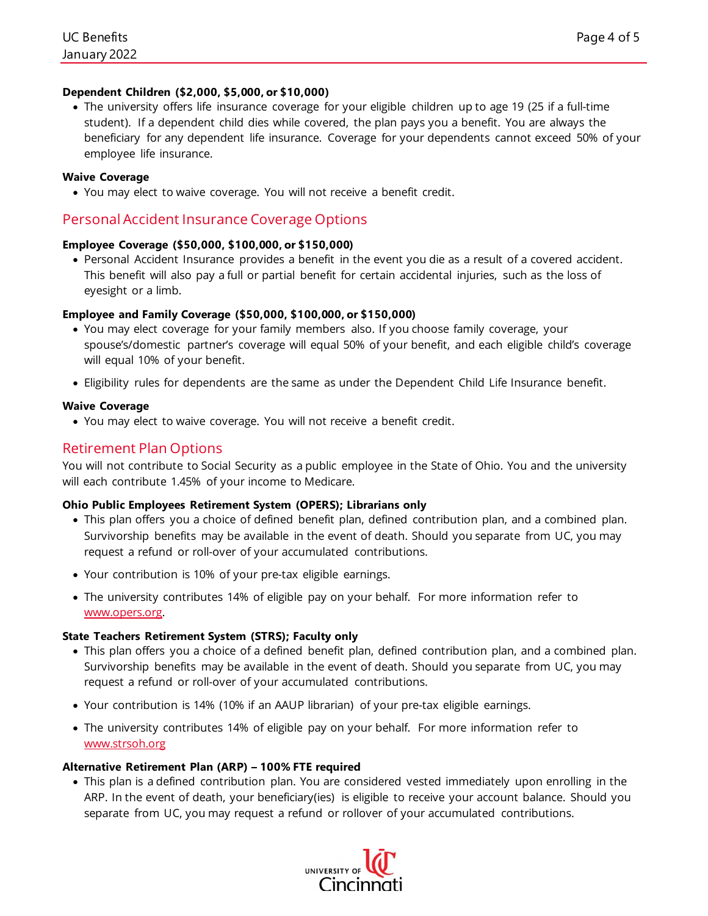## **Dependent Children (\$2,000, \$5,000, or \$10,000)**

• The university offers life insurance coverage for your eligible children up to age 19 (25 if a full-time student). If a dependent child dies while covered, the plan pays you a benefit. You are always the beneficiary for any dependent life insurance. Coverage for your dependents cannot exceed 50% of your employee life insurance.

## **Waive Coverage**

• You may elect to waive coverage. You will not receive a benefit credit.

# Personal Accident Insurance Coverage Options

#### **Employee Coverage (\$50,000, \$100,000, or \$150,000)**

• Personal Accident Insurance provides a benefit in the event you die as a result of a covered accident. This benefit will also pay a full or partial benefit for certain accidental injuries, such as the loss of eyesight or a limb.

## **Employee and Family Coverage (\$50,000, \$100,000, or \$150,000)**

- You may elect coverage for your family members also. If you choose family coverage, your spouse's/domestic partner's coverage will equal 50% of your benefit, and each eligible child's coverage will equal 10% of your benefit.
- Eligibility rules for dependents are the same as under the Dependent Child Life Insurance benefit.

#### **Waive Coverage**

• You may elect to waive coverage. You will not receive a benefit credit.

# Retirement Plan Options

You will not contribute to Social Security as a public employee in the State of Ohio. You and the university will each contribute 1.45% of your income to Medicare.

## **Ohio Public Employees Retirement System (OPERS); Librarians only**

- This plan offers you a choice of defined benefit plan, defined contribution plan, and a combined plan. Survivorship benefits may be available in the event of death. Should you separate from UC, you may request a refund or roll-over of your accumulated contributions.
- Your contribution is 10% of your pre-tax eligible earnings.
- The university contributes 14% of eligible pay on your behalf. For more information refer to [www.opers.org.](http://www.opers.org/)

#### **State Teachers Retirement System (STRS); Faculty only**

- This plan offers you a choice of a defined benefit plan, defined contribution plan, and a combined plan. Survivorship benefits may be available in the event of death. Should you separate from UC, you may request a refund or roll-over of your accumulated contributions.
- Your contribution is 14% (10% if an AAUP librarian) of your pre-tax eligible earnings.
- The university contributes 14% of eligible pay on your behalf. For more information refer to [www.strsoh.org](http://www.strsoh.org/)

## **Alternative Retirement Plan (ARP) – 100% FTE required**

• This plan is a defined contribution plan. You are considered vested immediately upon enrolling in the ARP. In the event of death, your beneficiary(ies) is eligible to receive your account balance. Should you separate from UC, you may request a refund or rollover of your accumulated contributions.